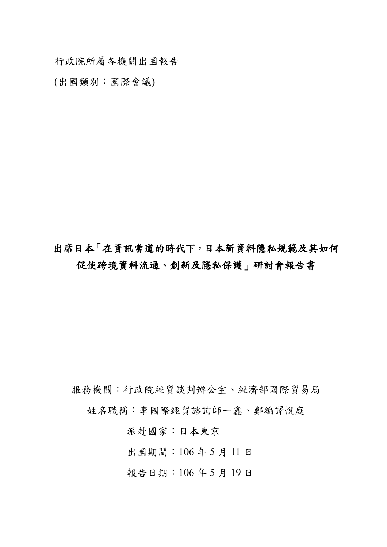行政院所屬各機關出國報告

(出國類別:國際會議)

# 出席日本「在資訊當道的時代下,日本新資料隱私規範及其如何 促使跨境資料流通、創新及隱私保護」研討會報告書

服務機關:行政院經貿談判辦公室、經濟部國際貿易局

姓名職稱:李國際經貿諮詢師一鑫、鄭編譯悅庭

派赴國家:日本東京

出國期間:106 年 5 月 11 日

報告日期:106 年 5 月 19 日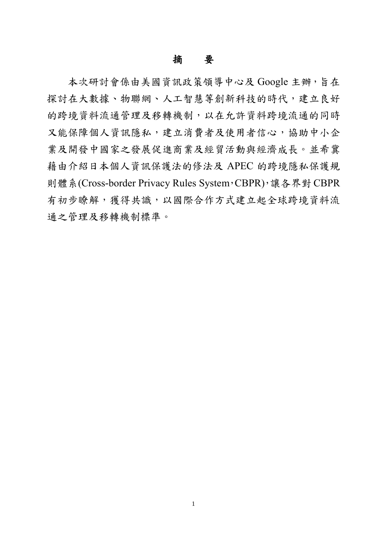## 摘要

本次研討會係由美國資訊政策領導中心及 Google 主辦,旨在 探討在大數據、物聯網、人工智慧等創新科技的時代,建立良好 的跨境資料流通管理及移轉機制,以在允許資料跨境流通的同時 又能保障個人資訊隱私,建立消費者及使用者信心,協助中小企 業及開發中國家之發展促進商業及經貿活動與經濟成長。並希冀 藉由介紹日本個人資訊保護法的修法及 APEC 的跨境隱私保護規 則體系(Cross-border Privacy Rules System,CBPR),讓各界對 CBPR 有初步瞭解,獲得共識,以國際合作方式建立起全球跨境資料流 通之管理及移轉機制標準。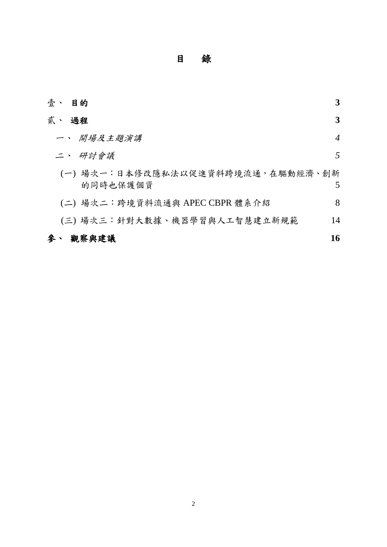目 錄

| 壹、 目的                                         | 3              |
|-----------------------------------------------|----------------|
| 貳、 過程                                         | 3              |
| 一、 開場及主題演講                                    | $\overline{4}$ |
| 二、 研討會議                                       | 5              |
| (一) 場次一:日本修改隱私法以促進資料跨境流通,在驅動經濟、創新<br>的同時也保護個資 | 5              |
| (二) 場次二:跨境資料流通與 APEC CBPR 體系介紹                | 8              |
| (三)場次三:針對大數據、機器學習與人工智慧建立新規範                   | 14             |
| 參、 觀察與建議                                      | 16             |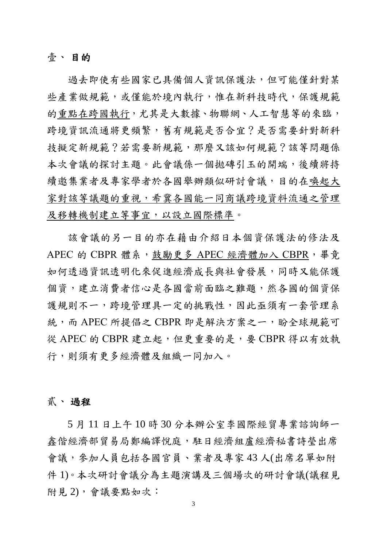#### 壹、 目的

過去即使有些國家已具備個人資訊保護法,但可能僅針對某 些產業做規範,或僅能於境內執行,惟在新科技時代,保護規範 的重點在跨國執行,尤其是大數據、物聯網、人工智慧等的來臨, 跨境資訊流通將更頻繁,舊有規範是否合宜?是否需要針對新科 技擬定新規範?若需要新規範,那麼又該如何規範?該等問題係 本次會議的探討主題。此會議係一個拋磚引玉的開端,後續將持 續邀集業者及專家學者於各國舉辦類似研討會議,目的在喚起大 家對該等議題的重視,希冀各國能一同商議跨境資料流通之管理 及移轉機制建立等事宜,以設立國際標準。

該會議的另一目的亦在藉由介紹日本個資保護法的修法及 APEC 的 CBPR 體系,鼓勵更多 APEC 經濟體加入 CBPR,畢竟 如何透過資訊透明化來促進經濟成長與社會發展,同時又能保護 個資,建立消費者信心是各國當前面臨之難題,然各國的個資保 護規則不一,跨境管理具一定的挑戰性,因此亟須有一套管理系 統,而 APEC 所提倡之 CBPR 即是解決方案之一,盼全球規範可 從 APEC 的 CBPR 建立起,但更重要的是,要 CBPR 得以有效執 行,則須有更多經濟體及組織一同加入。

#### 貳、 過程

5 月 11 日上午 10 時 30 分本辦公室李國際經貿專業諮詢師一 鑫偕經濟部貿易局鄭編譯悅庭,駐日經濟組盧經濟秘書詩榮出席 會議,參加人員包括各國官員、業者及專家 43 人(出席名單如附 件 1)。本次研討會議分為主題演講及三個場次的研討會議(議程見 附見 2),會議要點如次: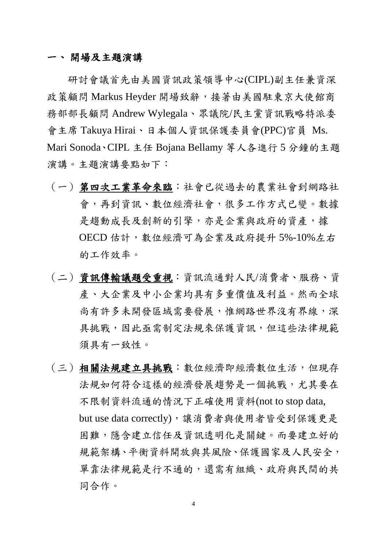#### 一、 開場及主題演講

研討會議首先由美國資訊政策領導中心(CIPL)副主任兼資深 政策顧問 Markus Heyder 開場致辭,接著由美國駐東京大使館商 務部部長顧問 Andrew Wylegala、眾議院/民主黨資訊戰略特派委 會主席 Takuya Hirai、日本個人資訊保護委員會(PPC)官員 Ms. Mari Sonoda、CIPL 主任 Bojana Bellamy 等人各進行 5 分鐘的主題 演講。主題演講要點如下:

- (一)第四次工業革命來臨:社會已從過去的農業社會到網路社 會,再到資訊、數位經濟社會,很多工作方式已變。數據 是趨動成長及創新的引擎,亦是企業與政府的資產,據 OECD 估計, 數位經濟可為企業及政府提升 5%-10%左右 的工作效率。
- (二)資訊傳輸議題受重視:資訊流通對人民/消費者、服務、資 產、大企業及中小企業均具有多重價值及利益。然而全球 尚有許多未開發區域需要發展,惟網路世界沒有界線,深 具挑戰,因此亟需制定法規來保護資訊,但這些法律規範 須具有一致性。
- (三)相關法規建立具挑戰:數位經濟即經濟數位生活,但現存 法規如何符合這樣的經濟發展趨勢是一個挑戰,尤其要在 不限制資料流通的情況下正確使用資料(not to stop data, but use data correctly),讓消費者與使用者皆受到保護更是 困難,隱含建立信任及資訊透明化是關鍵。而要建立好的 規範架構、平衡資料開放與其風險、保護國家及人民安全, 單靠法律規範是行不通的,還需有組織、政府與民間的共 同合作。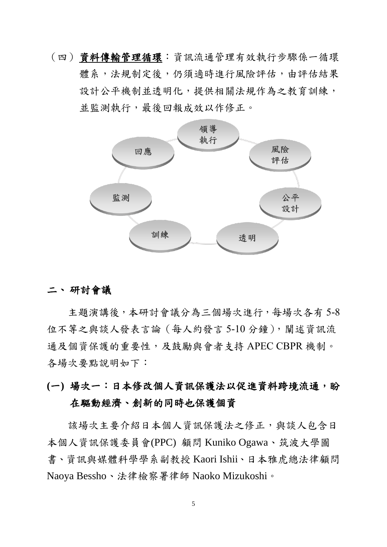(四)資料傳輸管理循環:資訊流通管理有效執行步驟係一循環 體系,法規制定後,仍須適時進行風險評估,由評估結果 設計公平機制並透明化,提供相關法規作為之教育訓練, 並監測執行,最後回報成效以作修正。



### 二、 研討會議

主題演講後,本研討會議分為三個場次進行,每場次各有 5-8 位不等之與談人發表言論(每人約發言 5-10分鐘), 闡述資訊流 通及個資保護的重要性,及鼓勵與會者支持 APEC CBPR 機制。 各場次要點說明如下:

**(**一**)** 場次一:日本修改個人資訊保護法以促進資料跨境流通,盼 在驅動經濟、創新的同時也保護個資

該場次主要介紹日本個人資訊保護法之修正,與談人包含日 本個人資訊保護委員會(PPC) 顧問 Kuniko Ogawa、筑波大學圖 書、資訊與媒體科學學系副教授 Kaori Ishii、日本雅虎總法律顧問 Naoya Bessho、法律檢察署律師 Naoko Mizukoshi。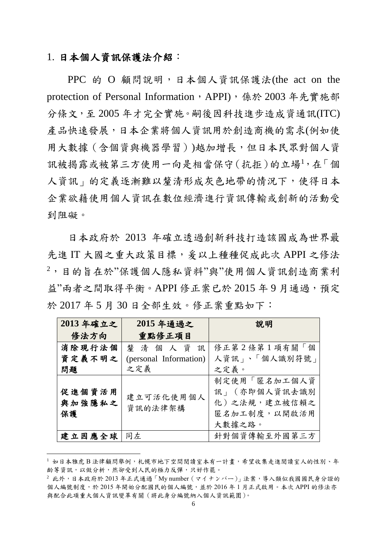### 1. 日本個人資訊保護法介紹:

1

PPC 的 O 顧問說明,日本個人資訊保護法(the act on the protection of Personal Information, APPI), 係於 2003 年先實施部 分條文,至 2005 年才完全實施。嗣後因科技進步造成資通訊(ITC) 產品快速發展,日本企業將個人資訊用於創造商機的需求(例如使 用大數據(含個資與機器學習))越加增長,但日本民眾對個人資 訊被揭露或被第三方使用一向是相當保守(抗拒)的立場<sup>1</sup>,在「個 人資訊」的定義逐漸難以釐清形成灰色地帶的情況下,使得日本 企業欲藉使用個人資訊在數位經濟進行資訊傳輸或創新的活動受 到阻礙。

日本政府於 2013 年確立透過創新科技打造該國成為世界最 先進 IT 大國之重大政策目標, 爰以上種種促成此次 APPI 之修法 <sup>2</sup>,目的旨在於"保護個人隱私資料"與"使用個人資訊創造商業利 益"兩者之間取得平衡。APPI 修正案已於 2015年9月通過, 預定 於 2017 年 5 月 30 日全部生效。修正案重點如下:

| 2013年確立之               | 2015年通過之               | 說明                                                                      |
|------------------------|------------------------|-------------------------------------------------------------------------|
| 修法方向                   | 重點修正項目                 |                                                                         |
| 消除現行法個                 | 釐清個人資訊                 | 修正第2條第1項有關「個                                                            |
| 資定義不明之                 | (personal Information) | 人資訊」、「個人識別符號」                                                           |
| 問題                     | 之定義                    | 之定義。                                                                    |
| 促進個資活用<br>與加強隱私之<br>保護 | 建立可活化使用個人<br>資訊的法律架構   | 制定使用「匿名加工個人資<br>訊」 (亦即個人資訊去識別<br>化)之法規,建立被信賴之<br>匿名加工制度,以開啟活用<br>大數據之路。 |
| 建立因應全球                 | 同左                     | 針對個資傳輸至外國第三方                                                            |

<sup>1</sup> 如日本雅虎 B 法律顧問舉例, 札幌市地下空間閱讀室本有一計書, 希望收集走進閱讀室人的性別、年 齡等資訊,以做分析,然卻受到人民的極力反彈,只好作罷。

 $2$  此外,日本政府於 2013年正式通過「My number  $($ マイナンバー)」法案,導入類似我國國民身分證的 個人編號制度,於 2015年開始分配國民的個人編號,並於 2016年1月正式啟用。本次 APPI 的修法亦 與配合此項重大個人資訊變革有關(將此身分編號納入個人資訊範圍)。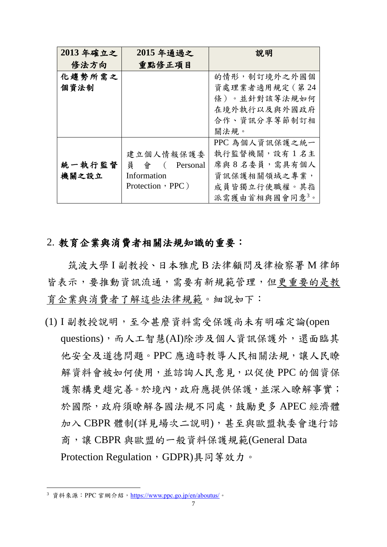| 2013年確立之 | 2015年通過之         | 說明             |
|----------|------------------|----------------|
| 修法方向     | 重點修正項目           |                |
| 化趨勢所需之   |                  | 的情形,制訂境外之外國個   |
| 個資法制     |                  | 資處理業者適用規定 (第24 |
|          |                  | 條)。並針對該等法規如何   |
|          |                  | 在境外執行以及與外國政府   |
|          |                  | 合作、資訊分享等節制訂相   |
|          |                  | 關法規。           |
|          |                  | PPC 為個人資訊保護之統一 |
|          | 建立個人情報保護委        | 執行監督機關,設有1名主   |
| 統一執行監督   | 員會<br>Personal   | 席與8名委員,需具有個人   |
| 機關之設立    | Information      | 資訊保護相關領域之專業,   |
|          | Protection, PPC) | 成員皆獨立行使職權。其指   |
|          |                  | 派需獲由首相與國會同意3。  |

### 2. 教育企業與消費者相關法規知識的重要:

筑波大學 I 副教授、日本雅虎 B 法律顧問及律檢察署 M 律師 皆表示,要推動資訊流通,需要有新規範管理,但更重要的是教 育企業與消費者了解這些法律規範。細說如下:

(1) I 副教授說明,至今甚麼資料需受保護尚未有明確定論(open questions),而人工智慧(AI)除涉及個人資訊保護外,還面臨其 他安全及道德問題。PPC 應適時教導人民相關法規,讓人民瞭 解資料會被如何使用,並諮詢人民意見,以促使 PPC 的個資保 護架構更趨完善。於境內,政府應提供保護,並深入瞭解事實; 於國際,政府須瞭解各國法規不同處,鼓勵更多 APEC 經濟體 加入 CBPR 體制(詳見場次二說明),甚至與歐盟執委會進行諮 商,讓 CBPR 與歐盟的一般資料保護規範(General Data Protection Regulation, GDPR)具同等效力。

<sup>3</sup> 資料來源: PPC 官網介紹, <https://www.ppc.go.jp/en/aboutus/>。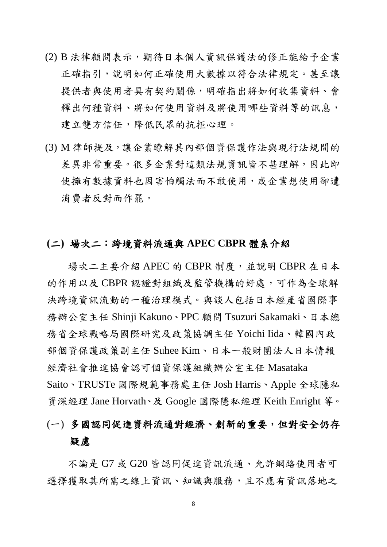- (2) B 法律顧問表示, 期待日本個人資訊保護法的修正能給予企業 正確指引,說明如何正確使用大數據以符合法律規定。甚至讓 提供者與使用者具有契約關係,明確指出將如何收集資料、會 釋出何種資料、將如何使用資料及將使用哪些資料等的訊息, 建立雙方信任,降低民眾的抗拒心理。
- (3) M 律師提及,讓企業瞭解其內部個資保護作法與現行法規間的 差異非常重要。很多企業對這類法規資訊皆不甚理解,因此即 使擁有數據資料也因害怕觸法而不敢使用,或企業想使用卻遭 消費者反對而作罷。

#### **(**二**)** 場次二:跨境資料流通與 **APEC CBPR** 體系介紹

場次二主要介紹 APEC 的 CBPR 制度,並說明 CBPR 在日本 的作用以及 CBPR 認證對組織及監管機構的好處,可作為全球解 決跨境資訊流動的一種治理模式。與談人包括日本經產省國際事 務辦公室主任 Shinji Kakuno、PPC 顧問 Tsuzuri Sakamaki、日本總 務省全球戰略局國際研究及政策協調主任 Yoichi Iida、韓國內政 部個資保護政策副主任 Suhee Kim、日本一般財團法人日本情報 經濟社會推進協會認可個資保護組織辦公室主任 Masataka Saito、TRUSTe 國際規範事務處主任 Josh Harris、Apple 全球隱私 資深經理 Jane Horvath、及 Google 國際隱私經理 Keith Enright 等。

# (一) 多國認同促進資料流通對經濟、創新的重要,但對安全仍存 疑慮

不論是 G7 或 G20 皆認同促進資訊流通、允許網路使用者可 選擇獲取其所需之線上資訊、知識與服務,且不應有資訊落地之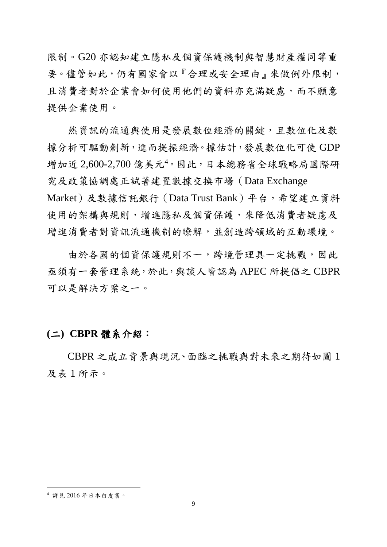限制。G20 亦認知建立隱私及個資保護機制與智慧財產權同等重 要。儘管如此,仍有國家會以『合理或安全理由』來做例外限制, 且消費者對於企業會如何使用他們的資料亦充滿疑慮,而不願意 提供企業使用。

然資訊的流通與使用是發展數位經濟的關鍵,且數位化及數 據分析可驅動創新,進而提振經濟。據估計,發展數位化可使 GDP 增加近 2,600-2,700 億美元<sup>4</sup>。因此,日本總務省全球戰略局國際研 究及政策協調處正試著建置數據交換市場(Data Exchange Market)及數據信託銀行(Data Trust Bank)平台,希望建立資料 使用的架構與規則,增進隱私及個資保護,來降低消費者疑慮及 增進消費者對資訊流通機制的瞭解,並創造跨領域的互動環境。

由於各國的個資保護規則不一,跨境管理具一定挑戰,因此 亟須有一套管理系統,於此,與談人皆認為 APEC 所提倡之 CBPR 可以是解決方案之一。

#### **(**二**) CBPR** 體系介紹:

CBPR 之成立背景與現況、面臨之挑戰與對未來之期待如圖 1 及表 1 所示。

<sup>4</sup> 詳見 2016 年日本白皮書。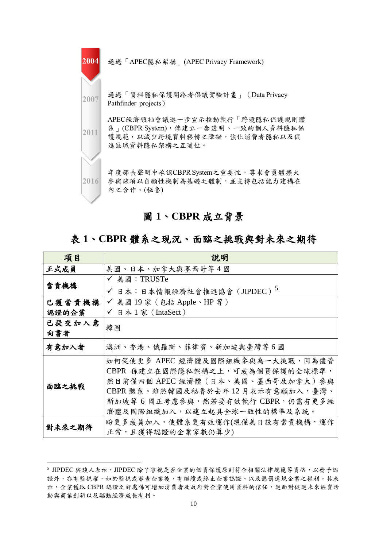

#### 圖 **1**、**CBPR** 成立背景

### 表 **1**、**CBPR** 體系之現況、面臨之挑戰與對未來之期待

| 項目     | 說明                                      |  |  |
|--------|-----------------------------------------|--|--|
| 正式成員   | 美國、日本、加拿大與墨西哥等 4 國                      |  |  |
| 當責機構   | ✔ 美國:TRUSTe                             |  |  |
|        | ✔ 日本:日本情報經濟社會推進協會 (JIPDEC) <sup>5</sup> |  |  |
| 已獲當責機構 | ✔ 美國 19家 (包括 Apple、HP 等)                |  |  |
| 認證的企業  | ✔ 日本1家 (IntaSect)                       |  |  |
| 已提交加入意 | 韓國                                      |  |  |
| 向書者    |                                         |  |  |
| 有意加入者  | 澳洲、香港、俄羅斯、菲律賓、新加坡與臺灣等6國                 |  |  |
|        | 如何促使更多 APEC 經濟體及國際組織參與為一大挑戰,因為儘管        |  |  |
|        | CBPR 係建立在國際隱私架構之上,可成為個資保護的全球標準,         |  |  |
| 面臨之挑戰  | 然目前僅四個 APEC 經濟體 (日本、美國、墨西哥及加拿大) 參與      |  |  |
|        | CBPR 體系。雖然韓國及秘魯於去年12月表示有意願加入,臺灣、        |  |  |
|        | 新加坡等 6 國正考慮參與,然若要有效執行 CBPR,仍需有更多經       |  |  |
|        | 濟體及國際組織加入,以建立起具全球一致性的標準及系統。             |  |  |
| 對未來之期待 | 盼更多成員加入,使體系更有效運作(現僅美日設有當責機構,運作          |  |  |
|        | 正常,且獲得認證的企業家數仍算少)                       |  |  |

<u>.</u>

<sup>5</sup> JIPDEC 與談人表示, JIPDEC 除了審視是否企業的個資保護原則符合相關法律規範等資格,以發予認 證外,亦有監視權,如於監視或審查企業後,有繼續或終止企業認證、以及懲罰違規企業之權利。其表 示,企業獲取 CBPR 認證之好處係可增加消費者及政府對企業使用資料的信任,進而對促進未來經貿活 動與商業創新以及驅動經濟成長有利。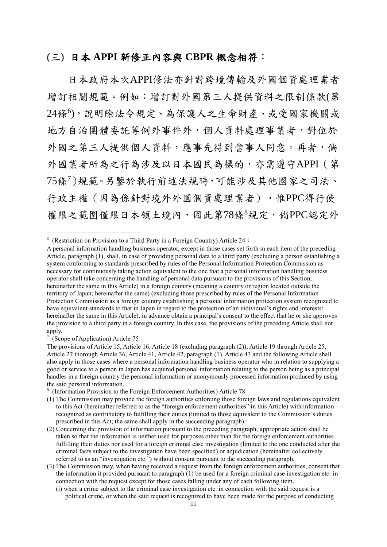#### (三) 日本 **APPI** 新修正內容與 **CBPR** 概念相符:

日本政府本次APPI修法亦針對跨境傳輸及外國個資處理業者 增訂相關規範。例如:增訂對外國第三人提供資料之限制條款(第 24條<sup>6</sup> ),說明除法令規定、為保護人之生命財產、或受國家機關或 地方自治團體委託等例外事件外,個人資料處理事業者,對位於 外國之第三人提供個人資料,應事先得到當事人同意。再者,倘 外國業者所為之行為涉及以日本國民為標的,亦需遵守APPI(第 75條<sup>7</sup>)規範。另鑒於執行前述法規時,可能涉及其他國家之司法、 行政主權(因為係針對境外外國個資處理業者),惟PPC得行使 權限之範圍僅限日本領土境內,因此第78條8規定,倘PPC認定外

7 (Scope of Application) Article 75:

<sup>&</sup>lt;sup>6</sup> (Restriction on Provision to a Third Party in a Foreign Country) Article 24:

A personal information handling business operator, except in those cases set forth in each item of the preceding Article, paragraph (1), shall, in case of providing personal data to a third party (excluding a person establishing a system conforming to standards prescribed by rules of the Personal Information Protection Commission as necessary for continuously taking action equivalent to the one that a personal information handling business operator shall take concerning the handling of personal data pursuant to the provisions of this Section; hereinafter the same in this Article) in a foreign country (meaning a country or region located outside the territory of Japan; hereinafter the same) (excluding those prescribed by rules of the Personal Information Protection Commission as a foreign country establishing a personal information protection system recognized to have equivalent standards to that in Japan in regard to the protection of an individual's rights and interests; hereinafter the same in this Article), in advance obtain a principal's consent to the effect that he or she approves the provision to a third party in a foreign country. In this case, the provisions of the preceding Article shall not apply.

The provisions of Article 15, Article 16, Article 18 (excluding paragraph (2)), Article 19 through Article 25, Article 27 thorough Article 36, Article 41, Article 42, paragraph (1), Article 43 and the following Article shall also apply in those cases where a personal information handling business operator who in relation to supplying a good or service to a person in Japan has acquired personal information relating to the person being as a principal handles in a foreign country the personal information or anonymously processed information produced by using the said personal information.

<sup>8</sup> (Information Provision to the Foreign Enforcement Authorities) Article 78

<sup>(1)</sup> The Commission may provide the foreign authorities enforcing those foreign laws and regulations equivalent to this Act (hereinafter referred to as the "foreign enforcement authorities" in this Article) with information recognized as contributory to fulfilling their duties (limited to those equivalent to the Commission's duties prescribed in this Act; the same shall apply in the succeeding paragraph).

<sup>(2)</sup> Concerning the provision of information pursuant to the preceding paragraph, appropriate action shall be taken so that the information is neither used for purposes other than for the foreign enforcement authorities fulfilling their duties nor used for a foreign criminal case investigation (limited to the one conducted after the criminal facts subject to the investigation have been specified) or adjudication (hereinafter collectively referred to as an "investigation etc.") without consent pursuant to the succeeding paragraph.

<sup>(3)</sup> The Commission may, when having received a request from the foreign enforcement authorities, consent that the information it provided pursuant to paragraph (1) be used for a foreign criminal case investigation etc. in connection with the request except for those cases falling under any of each following item.

<sup>(</sup>i) when a crime subject to the criminal case investigation etc. in connection with the said request is a political crime, or when the said request is recognized to have been made for the purpose of conducting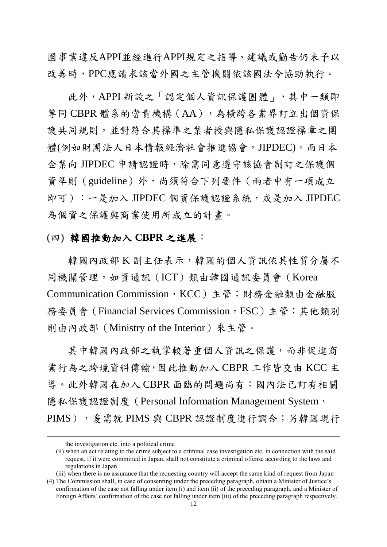國事業違反APPI並經進行APPI規定之指導、建議或勸告仍未予以 改善時,PPC應請求該當外國之主管機關依該國法令協助執行。

此外,APPI 新設之「認定個人資訊保護團體」,其中一類即 等同 CBPR 體系的當責機構(AA),為橫跨各業界訂立出個資保 護共同規則,並對符合其標準之業者授與隱私保護認證標章之團 體(例如財團法人日本情報經濟社會推進協會,JIPDEC)。而日本 企業向 JIPDEC 申請認證時,除需同意遵守該協會制訂之保護個 資準則(guideline)外,尚須符合下列要件(兩者中有一項成立 即可):一是加入 JIPDEC 個資保護認證系統,或是加入 JIPDEC 為個資之保護與商業使用所成立的計畫。

#### (四) 韓國推動加入 **CBPR** 之進展:

韓國內政部 K 副主任表示,韓國的個人資訊依其性質分屬不 同機關管理,如資通訊(ICT)類由韓國通訊委員會(Korea Communication Commission, KCC)主管;財務金融類由金融服 務委員會 (Financial Services Commission,FSC) 主管;其他類別 則由內政部(Ministry of the Interior)來主管。

其中韓國內政部之執掌較著重個人資訊之保護,而非促進商 業行為之跨境資料傳輸,因此推動加入 CBPR 工作皆交由 KCC 主 導。此外韓國在加入 CBPR 面臨的問題尚有:國內法已訂有相關 隱私保護認證制度 (Personal Information Management System, PIMS), 筹需就 PIMS 與 CBPR 認證制度進行調合;另韓國現行

the investigation etc. into a political crime

<sup>(</sup>ii) when an act relating to the crime subject to a criminal case investigation etc. in connection with the said request, if it were committed in Japan, shall not constitute a criminal offense according to the laws and regulations in Japan

<sup>(</sup>iii) when there is no assurance that the requesting country will accept the same kind of request from Japan (4) The Commission shall, in case of consenting under the preceding paragraph, obtain a Minister of Justice's

confirmation of the case not falling under item (i) and item (ii) of the preceding paragraph, and a Minister of Foreign Affairs' confirmation of the case not falling under item (iii) of the preceding paragraph respectively.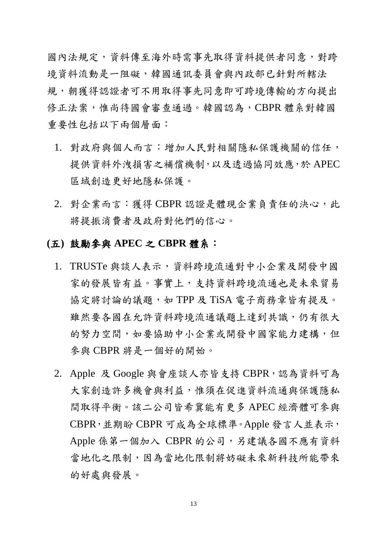國內法規定,資料傳至海外時需事先取得資料提供者同意,對跨 境資料流動是一阻礙,韓國通訊委員會與內政部已針對所轄法 規,朝獲得認證者可不用取得事先同意即可跨境傳輸的方向提出 修正法案,惟尚待國會審查通過。韓國認為,CBPR 體系對韓國 重要性包括以下兩個層面:

- 1. 對政府與個人而言:增加人民對相關隱私保護機關的信任, 提供資料外洩損害之補償機制,以及透過協同效應,於 APEC 區域創造更好地隱私保護。
- 2. 對企業而言:獲得 CBPR 認證是體現企業負責任的決心,此 將提振消費者及政府對他們的信心。

# **(**五**)** 鼓勵參與 **APEC** 之 **CBPR** 體系:

- 1. TRUSTe 與談人表示,資料跨境流通對中小企業及開發中國 家的發展皆有益。事實上,支持資料跨境流通也是未來貿易 協定將討論的議題,如 TPP 及 TiSA 電子商務章皆有提及。 雖然要各國在允許資料跨境流通議題上達到共識,仍有很大 的努力空間,如要協助中小企業或開發中國家能力建構,但 參與 CBPR 將是一個好的開始。
- 2. Apple 及 Google 與會座談人亦皆支持 CBPR,認為資料可為 大家創造許多機會與利益,惟須在促進資料流通與保護隱私 間取得平衡。該二公司皆希冀能有更多 APEC 經濟體可參與 CBPR,並期盼 CBPR 可成為全球標準。Apple 發言人並表示, Apple 係第一個加入 CBPR 的公司,另建議各國不應有資料 當地化之限制,因為當地化限制將妨礙未來新科技所能帶來 的好處與發展。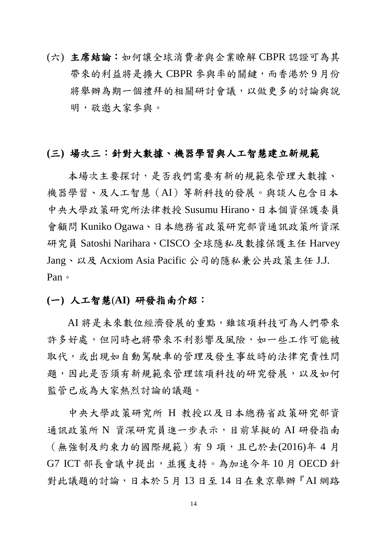(六) 主席結論:如何讓全球消費者與企業瞭解 CBPR認證可為其 帶來的利益將是擴大 CBPR 參與率的關鍵,而香港於 9 月份 將舉辦為期一個禮拜的相關研討會議,以做更多的討論與說 明,敬邀大家參與。

#### **(**三**)** 場次三:針對大數據、機器學習與人工智慧建立新規範

本場次主要探討,是否我們需要有新的規範來管理大數據、 機器學習、及人工智慧(AI)等新科技的發展。與談人包含日本 中央大學政策研究所法律教授 Susumu Hirano、日本個資保護委員 會顧問 Kuniko Ogawa、日本總務省政策研究部資通訊政策所資深 研究員 Satoshi Narihara、CISCO 全球隱私及數據保護主任 Harvey Jang、以及 Acxiom Asia Pacific 公司的隱私兼公共政策主任 J.J. Pan。

#### **(**一**)** 人工智慧(**AI)** 研發指南介紹:

AI 將是未來數位經濟發展的重點,雖該項科技可為人們帶來 許多好處,但同時也將帶來不利影響及風險,如一些工作可能被 取代,或出現如自動駕駛車的管理及發生事故時的法律究責性問 題,因此是否須有新規範來管理該項科技的研究發展,以及如何 監管已成為大家熱烈討論的議題。

中央大學政策研究所 H 教授以及日本總務省政策研究部資 通訊政策所 N 資深研究員進一步表示,目前草擬的 AI 研發指南 (無強制及約束力的國際規範)有 9 項,且已於去(2016)年 4 月 G7 ICT 部長會議中提出,並獲支持。為加速今年 10 月 OECD 針 對此議題的討論,日本於 5 月 13 日至 14 日在東京舉辦『AI 網路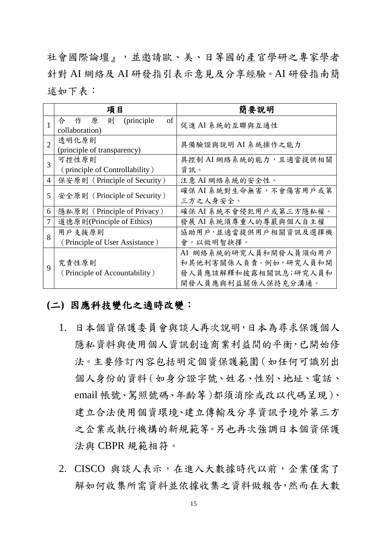社會國際論壇』,並邀請歐、美、日等國的產官學研之專家學者 針對 AI 網絡及 AI 研發指引表示意見及分享經驗。AI 研發指南簡 述如下表:

|                | 項目                                    | 簡要說明                   |
|----------------|---------------------------------------|------------------------|
|                | 合<br>(principle)<br>of<br>作<br>則<br>原 | 促進 AI 系統的互聯與互通性        |
|                | collaboration)                        |                        |
| $\overline{2}$ | 透明化原則                                 | 具備驗證與說明 AI 系統操作之能力     |
|                | (principle of transparency)           |                        |
| 3              | 可控性原則                                 | 具控制 AI 網絡系統的能力,且適當提供相關 |
|                | (principle of Controllability)        | 資訊。                    |
| $\overline{4}$ | 保安原則 (Principle of Security)          | 注意 AI 網絡系統的安全性。        |
| 5              | 安全原則 (Principle of Security)          | 確保 AI 系統對生命無害,不會傷害用戶或第 |
|                |                                       | 三方之人身安全。               |
| 6              | 隱私原則 (Principle of Privacy)           | 確保 AI 系統不會侵犯用戶或第三方隱私權。 |
| 7              | 道德原則(Principle of Ethics)             | 發展 AI 系統須尊重人的尊嚴與個人自主權  |
| 8              | 用戶支援原則                                | 協助用戶,並適當提供用戶相關資訊及選擇機   |
|                | (Principle of User Assistance)        | 會,以做明智抉擇。              |
|                |                                       | AI 網絡系統的研究人員和開發人員須向用戶  |
| $\mathbf Q$    | 究責性原則                                 | 和其他利害關係人負責。例如,研究人員和開   |
|                | (Principle of Accountability)         | 發人員應該解釋和披露相關訊息;研究人員和   |
|                |                                       | 開發人員應與利益關係人保持充分溝通。     |

#### **(**二**)** 因應科技變化之適時改變:

- 1. 日本個資保護委員會與談人再次說明,日本為尋求保護個人 隱私資料與使用個人資訊創造商業利益間的平衡,已開始修 法。主要修訂內容包括明定個資保護範圍(如任何可識別出 個人身份的資料(如身分證字號、姓名、性別、地址、電話、 email 帳號、駕照號碼、年齡等)都須消除或改以代碼呈現)、 建立合法使用個資環境、建立傳輸及分享資訊予境外第三方 之企業或執行機構的新規範等。另也再次強調日本個資保護 法與 CBPR 規範相符。
- 2. CISCO 與談人表示,在進入大數據時代以前,企業僅需了 解如何收集所需資料並依據收集之資料做報告,然而在大數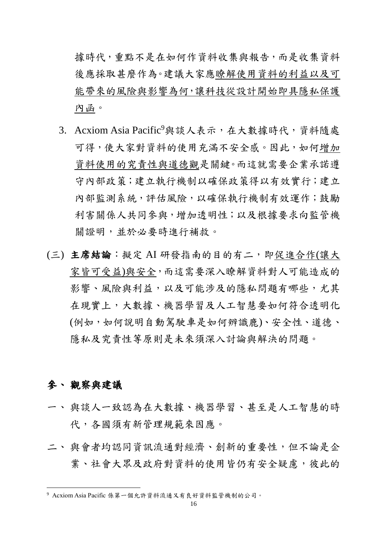據時代,重點不是在如何作資料收集與報告,而是收集資料 後應採取甚麼作為。建議大家應瞭解使用資料的利益以及可 能帶來的風險與影響為何,讓科技從設計開始即具隱私保護 內函。

- 3. Acxiom Asia Pacific<sup>9</sup>與談人表示,在大數據時代,資料隨處 可得,使大家對資料的使用充滿不安全感。因此,如何增加 資料使用的究責性與道德觀是關鍵。而這就需要企業承諾遵 守內部政策;建立執行機制以確保政策得以有效實行;建立 內部監測系統,評估風險,以確保執行機制有效運作;鼓勵 利害關係人共同參與,增加透明性;以及根據要求向監管機 關證明,並於必要時進行補救。
- (三) 主席結論: 擬定 AI 研發指南的目的有二, 即促進合作(讓大 家皆可受益)與安全,而這需要深入瞭解資料對人可能造成的 影響、風險與利益,以及可能涉及的隱私問題有哪些,尤其 在現實上,大數據、機器學習及人工智慧要如何符合透明化 (例如,如何說明自動駕駛車是如何辨識鹿)、安全性、道德、 隱私及究責性等原則是未來須深入討論與解決的問題。

# 參、 觀察與建議

- 一、 與談人一致認為在大數據、機器學習、甚至是人工智慧的時 代,各國須有新管理規範來因應。
- 二、與會者均認同資訊流通對經濟、創新的重要性,但不論是企 業、社會大眾及政府對資料的使用皆仍有安全疑慮,彼此的

<sup>9</sup> Acxiom Asia Pacific 係第一個允許資料流通又有良好資料監管機制的公司。